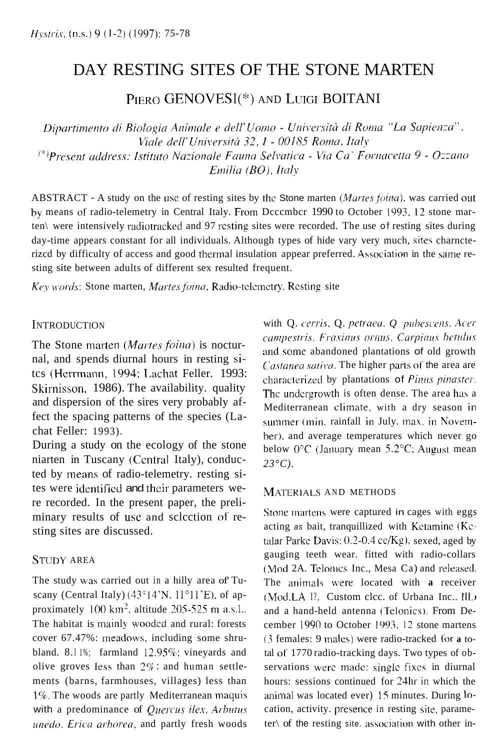# DAY RESTING SITES OF THE STONE MARTEN

PIERO GENOVESI(\*) AND LUIGI BOITANI

Dipartimento di Biologia Animale e dell'Uomo - Università di Roma "La Sapienza", Viale dell'Università 32, I - 00185 Roma, Italy (\*)Present address: Istituto Nazionale Fauna Selvatica - Via Ca` Fornacetta 9 - Ozzano Emilia (BO), Italy

ABSTRACT - A study on the use of resting sites by the Stone marten *(Martes foina)*, was carried out by means of radio-telemetry in Central Italy. From Dcccmbcr 1990 to October 1993, 12 stone marten\ were intensively radiotrackcd and 97 rcsting sites were recorded. The use of resting sites during day-time appears constant for all individuals. Although types of hide vary very much, sites charncterizcd by difficulty of access and good thermal insulation appear preferred. Association in the same resting site between adults of different sex resulted frequent.

*Key words: Stone marten, Martes foina, Radio-telemetry. Resting site* 

# **INTRODUCTION**

The Stone marten *(Martes foina)* is nocturnal, and spends diurnal hours in resting sitcs (Herrmann, 1994; Lachat Feller. 1993: Skirnisson, 1986). The availability. quality and dispersion of the sires very probably affect the spacing patterns of the species (Lachat Feller: 1993).

During a study on the ecology of the stone niarten in Tuscany (Ccnlral Italy), conducted by means of radio-telemetry. resting sites were identified and their parameters were recorded. In the present paper, the preliminary results of usc and sclcction of resting sites are discussed.

# STUDY AREA

The study **was** carried out in a hilly area of' Tuscany (Central Italy)  $(43^{\circ}14'N, 11^{\circ}11'E)$ , of approximately 100 km<sup>2</sup>, altitude 205-525 m a.s.l.. The habitat is mainly woodcd and rural: forests cover 67.47%: meadows. including some shrubland. 8.11%; farmland  $12.95\%$ ; vineyards and olive groves less than  $2\%$  : and human settlements (barns, farmhouses, villages) less than 1%. The woods are partly Mediterranean maquis with a predominance of *Quercus ilex*, *Arbutus unedo. Erica arborea*, and partly fresh woods with Q. *cerris*, Q. *petraea*, Q. *pubescens*. Acer  $campestris. Fra xinus ornus, Carpinus betulus$ and some abandoned plantations of old growth *Castanea sativa*. The higher parts of the area are characterized by plantations of *Pinus pinaster*. The undergrowth is often dense. The area has a Mediterranean climate, with a dry season in summer (min. rainfall in July. max. in Novemher). and average temperatures which never go below  $0^{\circ}$ C (January mean 5.2°C; August mean *23°C).* 

# MATERIALS AND METHODS

Stone martens were captured in cages with eggs acting *as* bait, tranquillized with Kctaminc (Kctalar Parke Davis:  $0.2$ -0.4 cc/Kg), sexed, aged by gauging teeth wear. fitted with radio-collars (Mod 2A. Telonics Inc., Mesa Ca) and released. The animals \vere located with **a** receiver (Mod.LA I<sup>9</sup>, Custom clcc. of Urbana Inc., Ill.) and a hand-held antenna (Telonics). From December 1990 to October 1993. 12 stone martens *(3* females: 9 male\) were radio-tracked (or **a** total of 1770 radio-tracking days. Two types of observations were made: singlc fixes in diurnal hours: sessions continued for 24hr **in** which the animal was located ever) 15 minutes. During **10**  cation, activity. presence in resting site, parameter $\log$  of the resting site. association with other in-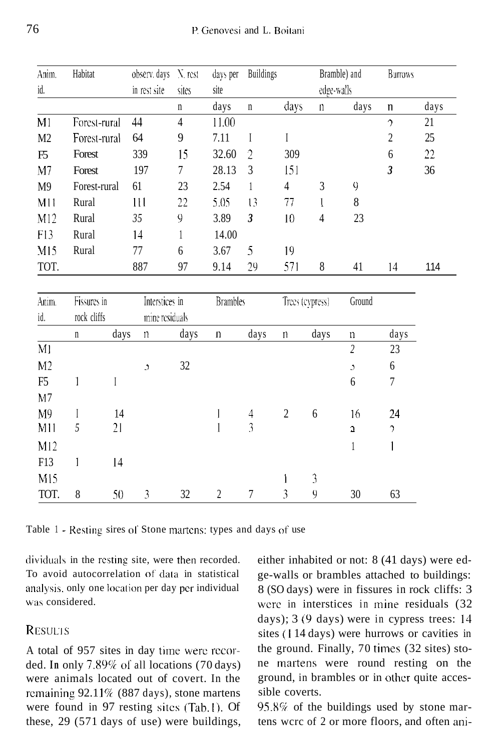| Anim.           | Habitat      |         | observ. days   | N rest         | <b>Buildings</b><br>days per |                         |                                | Bramble) and   |                | <b>Burrows</b> |      |
|-----------------|--------------|---------|----------------|----------------|------------------------------|-------------------------|--------------------------------|----------------|----------------|----------------|------|
| id.             |              |         | in rest site   | sites          | site                         |                         |                                |                | edge-walls     |                |      |
|                 |              |         |                | $\mathbf n$    | days                         | $\mathbf n$             | days                           | $\mathsf{n}$   | days           | $\mathsf{n}$   | days |
| M <sub>1</sub>  | Forest-rural |         | 44             | $\overline{4}$ | 11.00                        |                         |                                |                |                | $\gamma$       | 21   |
| M2              | Forest-rural |         | 64             | 9              | 7.11                         | I                       | $\rm I$                        |                |                | $\overline{c}$ | 25   |
| F5              | Forest       |         | 339            | 15             | 32.60                        | $\overline{2}$          | 309                            |                |                | 6              | 22   |
| M <sub>7</sub>  | Forest       |         | 197            | 7              | 28.13                        | 3                       | 151                            |                |                | $\mathfrak{z}$ | 36   |
| M <sub>9</sub>  | Forest-rural |         | 61             | 23             | 2.54                         | 1                       | $\overline{4}$                 | $\overline{3}$ | 9              |                |      |
| M11             | Rural        |         | 111            | 22             | 5.05                         | 13                      | 77                             | L              | 8              |                |      |
| M12             | Rural        |         | 35             | 9              | 3.89                         | $\mathfrak{z}$          | 10                             | $\overline{4}$ | 23             |                |      |
| F13             | Rural        |         | 14             | 1              | 14.00                        |                         |                                |                |                |                |      |
| M15             | Rural        |         | 77             | 6              | 3.67                         | 5                       | 19                             |                |                |                |      |
| TOT.            |              |         | 887            | 97             | 9.14                         | 29                      | 571                            | 8              | 41             | 14             | 114  |
| Anim.           | Fissures in  |         | Interstices in |                | <b>Brambles</b>              |                         | Trees (cypress)                |                | Ground         |                |      |
| id.             | rock cliffs  |         |                | mine residuals |                              |                         |                                |                |                |                |      |
|                 | $\mathbf n$  | days    | $\mathbf n$    | days           | $\mathbf n$                  | days                    | $\mathbf n$                    | days           | n              | days           |      |
| M <sub>l</sub>  |              |         |                |                |                              |                         |                                |                | $\overline{2}$ | 23             |      |
| M <sub>2</sub>  |              |         | $\mathfrak{I}$ | $32\,$         |                              |                         |                                |                | Ć              | 6              |      |
| F <sub>5</sub>  | 1            | $\rm I$ |                |                |                              |                         |                                |                | $6\,$          | $\overline{7}$ |      |
| M <sub>7</sub>  |              |         |                |                |                              |                         |                                |                |                |                |      |
| M9              | I            | 14      |                |                | 1                            | $\overline{4}$          | $\overline{c}$                 | 6              | 16             | 24             |      |
| M11             | 5            | 21      |                |                | 1                            | $\overline{\mathbf{3}}$ |                                |                | ä,             | $\gamma$       |      |
| M12             |              |         |                |                |                              |                         |                                |                | 1              | $\mathbf{I}$   |      |
| F13             | 1            | 14      |                |                |                              |                         |                                |                |                |                |      |
| M <sub>15</sub> |              |         |                |                |                              |                         | $\begin{array}{c} \end{array}$ | $\mathfrak{Z}$ |                |                |      |
| TOT.            | 8            | 50      | 3              | 32             | $\overline{c}$               | $\overline{7}$          | 3                              | 9              | 30             | 63             |      |

Table 1 - Resting sires of Stone martcns: types and days of use

dividuals in the resting site, were then recorded. To avoid autocorrelation of data in statistical analysis, only one location per day pcr individual was considered.

# RESULTS

A total of 957 sites in day time werc rccorded. **In** only 7.89% 01 all locations (70 days) were animals located out of covert. In the rcmaining 92.11% (887 days), stone martens were found in 97 resting sitcs (Tab.1). Of these, 29 (571 days of use) were buildings,

either inhabited or not: 8 (41 days) were edge-walls or brambles attached to buildings: 8 (SO days) were in fissures in rock cliffs: 3 were in interstices in mine residuals (32) days); 3 (9 days) were in cypress trees: 14 sites (1 14 days) were hurrows or cavities in the ground. Finally, 70 times (32 sites) stone martens were round resting on the ground, in brambles or in other quite accessible coverts.

95.8% of the buildings used by stone martens wcrc of 2 or more floors, and often ani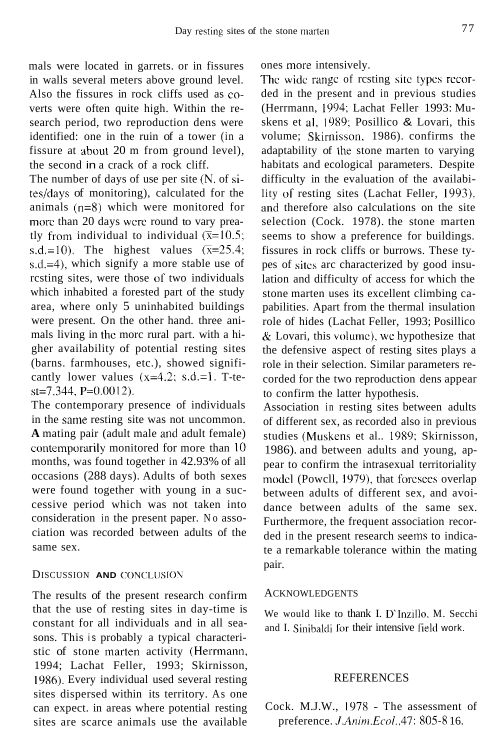mals were located in garrets. or in fissures in walls several meters above ground level. Also the fissures in rock cliffs used as COverts were often quite high. Within the research period, two reproduction dens were identified: one in the ruin of a tower (in a fissure at about 20 m from ground level), the second in a crack of a rock cliff.

The number of days of use per site (N. of sites/days of monitoring), calculated for the animals (n=8) which were monitored for more than 20 days were round to vary preatly from individual to individual  $(\overline{x}=10.5)$ : s.d.=10). The highest values  $(\overline{x}=25.4;$ s.d.=4), which signify a more stable use of rcsting sites, were those of two individuals which inhabited a forested part of the study area, where only 5 uninhabited buildings were present. On the other hand. three animals living in the morc rural part. with a higher availability of potential resting sites (barns. farmhouses, etc.), showed significantly lower values  $(x=4.2; s.d=1. T-te$  $st=7.344$ , P=0.0012).

The contemporary presence of individuals in the same resting site was not uncommon. **A** mating pair (adult male and adult female) contemporarily monitored for more than 10 months, was found together in 42.93% of all occasions (288 days). Adults of both sexes were found together with young in a successive period which was not taken into consideration in the present paper. No association was recorded between adults of the same sex.

### DISCUSSION **AND** CONCLUSION

The results of the present research confirm that the use of resting sites in day-time is constant for all individuals and in all seasons. This is probably a typical characteristic of stone marten activity (Herrmann, 1994; Lachat Feller, 1993; Skirnisson, 19x6). Every individual used several resting sites dispersed within its territory. As one can expect. in areas where potential resting sites are scarce animals use the available ones more intensively.

The wide range of resting site types recorded in the present and in previous studies (Herrmann, 1994; Lachat Feller 1993: Muskens et al, **IYX9;** Posillico & Lovari, this volume; Skirnisson, 1986). confirms the adaptability of the stone marten to varying habitats and ecological parameters. Despite difficulty in the evaluation of the availability of resting sites (Lachat Feller, 1993). and therefore also calculations on the site selection (Cock. 1978). the stone marten seems to show a preference for buildings. fissures in rock cliffs or burrows. These types of sites arc characterized by good insulation and difficulty of access for which the stone marten uses its excellent climbing capabilities. Apart from the thermal insulation role of hides (Lachat Feller, 1993; Posillico  $\&$  Lovari, this volume), we hypothesize that the defensive aspect of resting sites plays a role in their selection. Similar parameters recorded for the two reproduction dens appear to confirm the latter hypothesis.

Association in resting sites between adults of different sex, as recorded also in previous studies (Muskens et al.. 1989; Skirnisson, 1986). and between adults and young, appear to confirm the intrasexual territoriality modcl (Powcll, 1979), that foresees overlap between adults of different sex, and avoidance between adults of the same sex. Furthermore, the frequent association recorded in the present research seems to indicate a remarkable tolerance within the mating pair.

#### ACKNOWLEDGENTS

We would like to thank I. D'Inzillo. M. Secchi and I. Sinibaldi for their intensive field work.

### **REFERENCES**

Cock. M.J.W., I978 - The assessment of preference. *J.Anim.Ecol.*,47: 805-8 16.